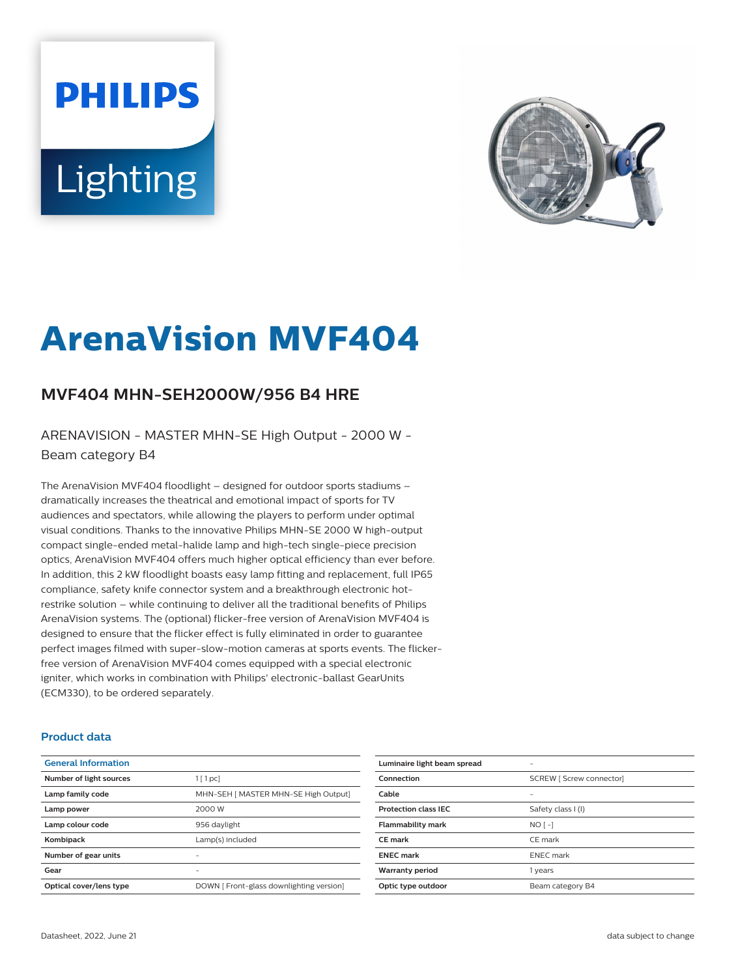# **PHILIPS Lighting**



## **ArenaVision MVF404**

### **MVF404 MHN-SEH2000W/956 B4 HRE**

ARENAVISION - MASTER MHN-SE High Output - 2000 W - Beam category B4

The ArenaVision MVF404 floodlight – designed for outdoor sports stadiums – dramatically increases the theatrical and emotional impact of sports for TV audiences and spectators, while allowing the players to perform under optimal visual conditions. Thanks to the innovative Philips MHN-SE 2000 W high-output compact single-ended metal-halide lamp and high-tech single-piece precision optics, ArenaVision MVF404 offers much higher optical efficiency than ever before. In addition, this 2 kW floodlight boasts easy lamp fitting and replacement, full IP65 compliance, safety knife connector system and a breakthrough electronic hotrestrike solution – while continuing to deliver all the traditional benefits of Philips ArenaVision systems. The (optional) flicker-free version of ArenaVision MVF404 is designed to ensure that the flicker effect is fully eliminated in order to guarantee perfect images filmed with super-slow-motion cameras at sports events. The flickerfree version of ArenaVision MVF404 comes equipped with a special electronic igniter, which works in combination with Philips' electronic-ballast GearUnits (ECM330), to be ordered separately.

#### **Product data**

| <b>General Information</b> |                                          |
|----------------------------|------------------------------------------|
| Number of light sources    | $1$ [ 1 pc]                              |
| Lamp family code           | MHN-SEH [ MASTER MHN-SE High Output]     |
| Lamp power                 | 2000 W                                   |
| Lamp colour code           | 956 daylight                             |
| Kombipack                  | Lamp(s) included                         |
| Number of gear units       |                                          |
| Gear                       |                                          |
| Optical cover/lens type    | DOWN [ Front-glass downlighting version] |

| Luminaire light beam spread |                                 |
|-----------------------------|---------------------------------|
| Connection                  | <b>SCREW   Screw connector]</b> |
| Cable                       |                                 |
| <b>Protection class IEC</b> | Safety class I (I)              |
| <b>Flammability mark</b>    | $NO[-]$                         |
| CE mark                     | CE mark                         |
| <b>ENEC</b> mark            | <b>ENEC</b> mark                |
| <b>Warranty period</b>      | 1 years                         |
| Optic type outdoor          | Beam category B4                |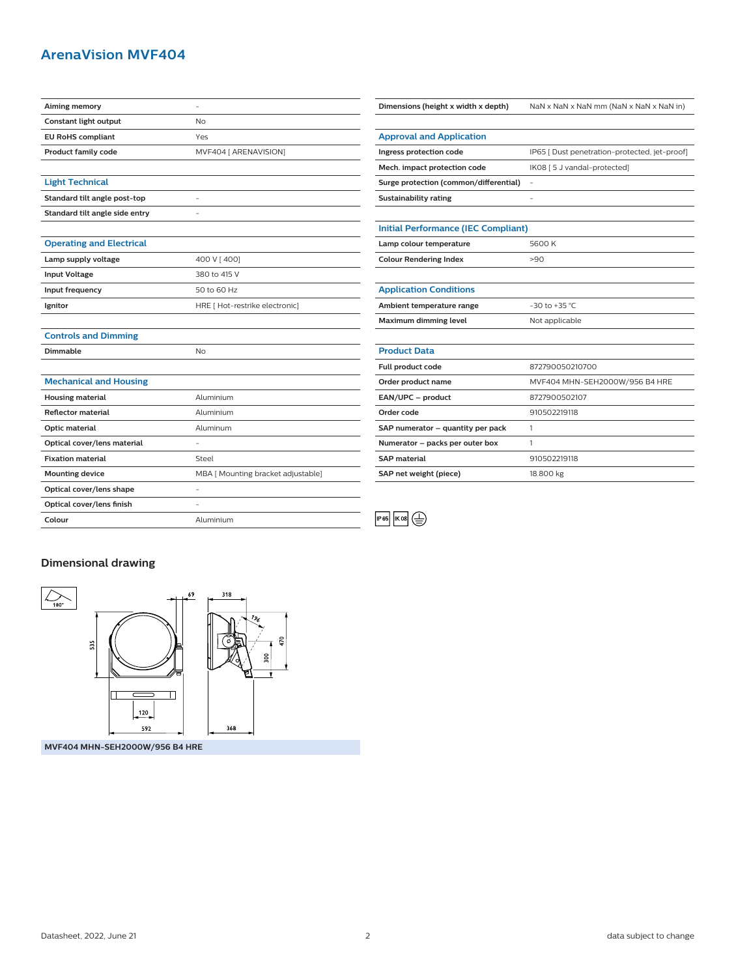#### **ArenaVision MVF404**

| Aiming memory                   |                                    | Dimensions (height x width x depth)        | NaN x NaN x NaN mm (NaN x NaN x NaN in)       |
|---------------------------------|------------------------------------|--------------------------------------------|-----------------------------------------------|
| Constant light output           | No                                 |                                            |                                               |
| <b>EU RoHS compliant</b>        | Yes                                | <b>Approval and Application</b>            |                                               |
| Product family code             | MVF404 [ ARENAVISION]              | Ingress protection code                    | IP65 [ Dust penetration-protected, jet-proof] |
|                                 |                                    | Mech. impact protection code               | IK08 [5 J vandal-protected]                   |
| <b>Light Technical</b>          |                                    | Surge protection (common/differential)     | $\overline{\phantom{a}}$                      |
| Standard tilt angle post-top    | L,                                 | Sustainability rating                      |                                               |
| Standard tilt angle side entry  | L,                                 |                                            |                                               |
|                                 |                                    | <b>Initial Performance (IEC Compliant)</b> |                                               |
| <b>Operating and Electrical</b> |                                    | Lamp colour temperature                    | 5600K                                         |
| Lamp supply voltage             | 400 V [400]                        | <b>Colour Rendering Index</b>              | >90                                           |
| <b>Input Voltage</b>            | 380 to 415 V                       |                                            |                                               |
| Input frequency                 | 50 to 60 Hz                        | <b>Application Conditions</b>              |                                               |
| Ignitor                         | HRE [ Hot-restrike electronic]     | Ambient temperature range                  | $-30$ to $+35$ °C                             |
|                                 |                                    | Maximum dimming level                      | Not applicable                                |
| <b>Controls and Dimming</b>     |                                    |                                            |                                               |
| Dimmable                        | No                                 | <b>Product Data</b>                        |                                               |
|                                 |                                    | Full product code                          | 872790050210700                               |
| <b>Mechanical and Housing</b>   |                                    | Order product name                         | MVF404 MHN-SEH2000W/956 B4 HRE                |
| <b>Housing material</b>         | Aluminium                          | EAN/UPC - product                          | 8727900502107                                 |
| <b>Reflector material</b>       | Aluminium                          | Order code                                 | 910502219118                                  |
| Optic material                  | Aluminum                           | SAP numerator - quantity per pack          | $\mathbf{1}$                                  |
| Optical cover/lens material     | L.                                 | Numerator - packs per outer box            | $\mathbf{1}$                                  |
| <b>Fixation material</b>        | Steel                              | <b>SAP</b> material                        | 910502219118                                  |
| <b>Mounting device</b>          | MBA [ Mounting bracket adjustable] | SAP net weight (piece)                     | 18.800 kg                                     |
| Optical cover/lens shape        | L.                                 |                                            |                                               |
| Optical cover/lens finish       | L.                                 |                                            |                                               |
| Colour                          | Aluminium                          | IP 65<br><b>IK 08</b><br>嵩                 |                                               |
|                                 |                                    |                                            |                                               |

| Surge protection (common/differential)     | $\overline{\phantom{a}}$       |  |
|--------------------------------------------|--------------------------------|--|
| Sustainability rating                      | ۰                              |  |
|                                            |                                |  |
| <b>Initial Performance (IEC Compliant)</b> |                                |  |
| Lamp colour temperature                    | 5600 K                         |  |
| <b>Colour Rendering Index</b>              | >90                            |  |
|                                            |                                |  |
| <b>Application Conditions</b>              |                                |  |
| Ambient temperature range                  | $-30$ to $+35$ °C              |  |
| Maximum dimming level                      | Not applicable                 |  |
|                                            |                                |  |
| <b>Product Data</b>                        |                                |  |
| Full product code                          | 872790050210700                |  |
| Order product name                         | MVF404 MHN-SEH2000W/956 B4 HRE |  |
| EAN/UPC - product                          | 8727900502107                  |  |
| Order code                                 | 910502219118                   |  |
| SAP numerator - quantity per pack          | 1                              |  |
| Numerator - packs per outer box            | 1                              |  |
| <b>SAP</b> material                        | 910502219118                   |  |
| SAP net weight (piece)                     | 18.800 kg                      |  |

**Dimensional drawing**